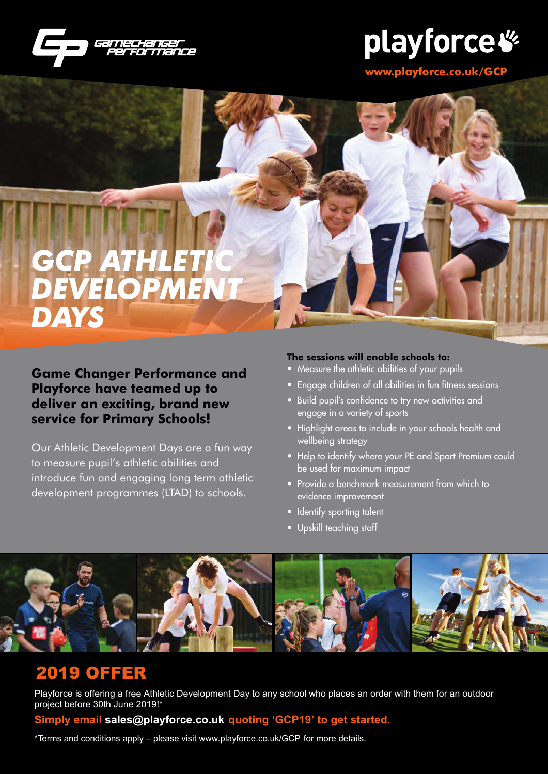

# playforce  $\mathscr G$

**www.playforce.co.uk/GCP**

## *GCP ATHLETIC DEVELOPMENT DAYS*

### **Game Changer Performance and Playforce have teamed up to deliver an exciting, brand new service for Primary Schools!**

Our Athletic Development Days are a fun way to measure pupil's athletic abilities and introduce fun and engaging long term athletic development programmes (LTAD) to schools.

#### **The sessions will enable schools to:**

- Measure the athletic abilities of your pupils
- Engage children of all abilities in fun fitness sessions
- Build pupil's confidence to try new activities and engage in a variety of sports
- Highlight areas to include in your schools health and wellbeing strategy
- Help to identify where your PE and Sport Premium could be used for maximum impact
- Provide a benchmark measurement from which to evidence improvement
- Identify sporting talent
- Upskill teaching staff



### 2019 OFFER

Playforce is offering a free Athletic Development Day to any school who places an order with them for an outdoor project before 30th June 2019!\*

### **Simply email sales@playforce.co.uk quoting 'GCP19' to get started.**

\*Terms and conditions apply – please visit www.playforce.co.uk/GCP for more details.